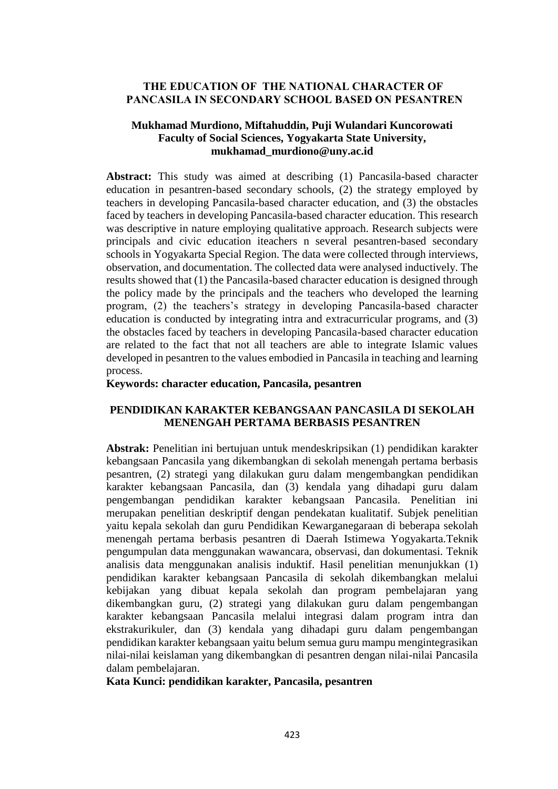### **THE EDUCATION OF THE NATIONAL CHARACTER OF PANCASILA IN SECONDARY SCHOOL BASED ON PESANTREN**

## **Mukhamad Murdiono, Miftahuddin, Puji Wulandari Kuncorowati Faculty of Social Sciences, Yogyakarta State University, mukhamad\_murdiono@uny.ac.id**

**Abstract:** This study was aimed at describing (1) Pancasila-based character education in pesantren-based secondary schools, (2) the strategy employed by teachers in developing Pancasila-based character education, and (3) the obstacles faced by teachers in developing Pancasila-based character education. This research was descriptive in nature employing qualitative approach. Research subjects were principals and civic education iteachers n several pesantren-based secondary schools in Yogyakarta Special Region. The data were collected through interviews, observation, and documentation. The collected data were analysed inductively. The results showed that (1) the Pancasila-based character education is designed through the policy made by the principals and the teachers who developed the learning program, (2) the teachers's strategy in developing Pancasila-based character education is conducted by integrating intra and extracurricular programs, and (3) the obstacles faced by teachers in developing Pancasila-based character education are related to the fact that not all teachers are able to integrate Islamic values developed in pesantren to the values embodied in Pancasila in teaching and learning process.

### **Keywords: character education, Pancasila, pesantren**

### **PENDIDIKAN KARAKTER KEBANGSAAN PANCASILA DI SEKOLAH MENENGAH PERTAMA BERBASIS PESANTREN**

**Abstrak:** Penelitian ini bertujuan untuk mendeskripsikan (1) pendidikan karakter kebangsaan Pancasila yang dikembangkan di sekolah menengah pertama berbasis pesantren, (2) strategi yang dilakukan guru dalam mengembangkan pendidikan karakter kebangsaan Pancasila, dan (3) kendala yang dihadapi guru dalam pengembangan pendidikan karakter kebangsaan Pancasila. Penelitian ini merupakan penelitian deskriptif dengan pendekatan kualitatif. Subjek penelitian yaitu kepala sekolah dan guru Pendidikan Kewarganegaraan di beberapa sekolah menengah pertama berbasis pesantren di Daerah Istimewa Yogyakarta.Teknik pengumpulan data menggunakan wawancara, observasi, dan dokumentasi. Teknik analisis data menggunakan analisis induktif. Hasil penelitian menunjukkan (1) pendidikan karakter kebangsaan Pancasila di sekolah dikembangkan melalui kebijakan yang dibuat kepala sekolah dan program pembelajaran yang dikembangkan guru, (2) strategi yang dilakukan guru dalam pengembangan karakter kebangsaan Pancasila melalui integrasi dalam program intra dan ekstrakurikuler, dan (3) kendala yang dihadapi guru dalam pengembangan pendidikan karakter kebangsaan yaitu belum semua guru mampu mengintegrasikan nilai-nilai keislaman yang dikembangkan di pesantren dengan nilai-nilai Pancasila dalam pembelajaran.

#### **Kata Kunci: pendidikan karakter, Pancasila, pesantren**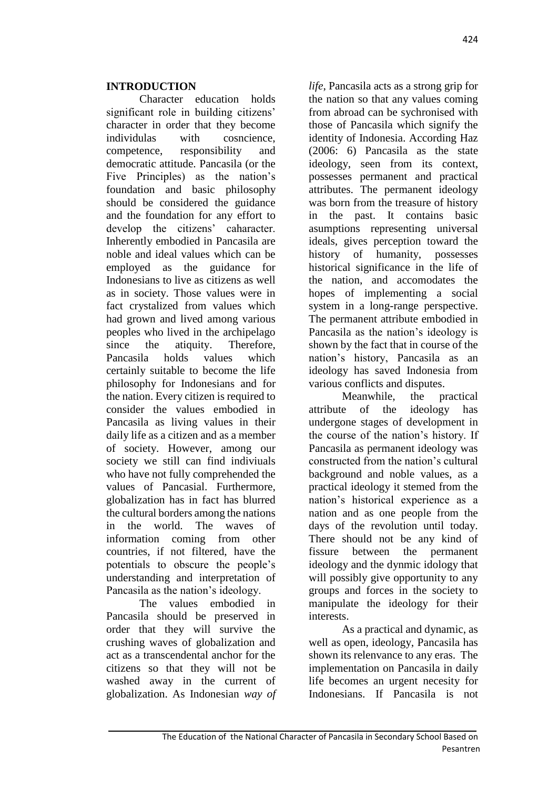## **INTRODUCTION**

Character education holds significant role in building citizens' character in order that they become individulas with cosncience, competence, responsibility and democratic attitude. Pancasila (or the Five Principles) as the nation's foundation and basic philosophy should be considered the guidance and the foundation for any effort to develop the citizens' caharacter. Inherently embodied in Pancasila are noble and ideal values which can be employed as the guidance for Indonesians to live as citizens as well as in society. Those values were in fact crystalized from values which had grown and lived among various peoples who lived in the archipelago since the atiquity. Therefore, Pancasila holds values which certainly suitable to become the life philosophy for Indonesians and for the nation. Every citizen is required to consider the values embodied in Pancasila as living values in their daily life as a citizen and as a member of society. However, among our society we still can find indiviuals who have not fully comprehended the values of Pancasial. Furthermore, globalization has in fact has blurred the cultural borders among the nations in the world. The waves of information coming from other countries, if not filtered, have the potentials to obscure the people's understanding and interpretation of Pancasila as the nation's ideology.

The values embodied in Pancasila should be preserved in order that they will survive the crushing waves of globalization and act as a transcendental anchor for the citizens so that they will not be washed away in the current of globalization. As Indonesian *way of*  *life*, Pancasila acts as a strong grip for the nation so that any values coming from abroad can be sychronised with those of Pancasila which signify the identity of Indonesia. According Haz (2006: 6) Pancasila as the state ideology, seen from its context, possesses permanent and practical attributes. The permanent ideology was born from the treasure of history in the past. It contains basic asumptions representing universal ideals, gives perception toward the history of humanity, possesses historical significance in the life of the nation, and accomodates the hopes of implementing a social system in a long-range perspective. The permanent attribute embodied in Pancasila as the nation's ideology is shown by the fact that in course of the nation's history, Pancasila as an ideology has saved Indonesia from various conflicts and disputes.

Meanwhile, the practical attribute of the ideology has undergone stages of development in the course of the nation's history. If Pancasila as permanent ideology was constructed from the nation's cultural background and noble values, as a practical ideology it stemed from the nation's historical experience as a nation and as one people from the days of the revolution until today. There should not be any kind of fissure between the permanent ideology and the dynmic idology that will possibly give opportunity to any groups and forces in the society to manipulate the ideology for their interests.

As a practical and dynamic, as well as open, ideology, Pancasila has shown its relenvance to any eras. The implementation on Pancasila in daily life becomes an urgent necesity for Indonesians. If Pancasila is not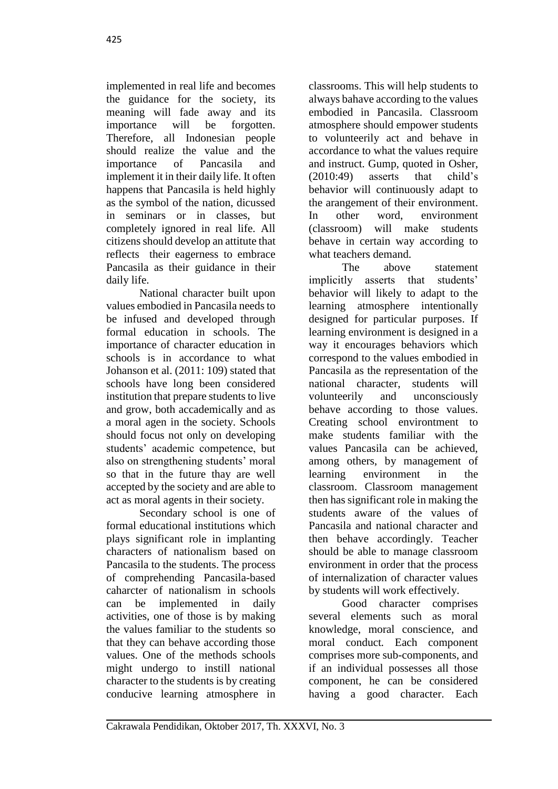implemented in real life and becomes the guidance for the society, its meaning will fade away and its importance will be forgotten. Therefore, all Indonesian people should realize the value and the importance of Pancasila and implement it in their daily life. It often happens that Pancasila is held highly as the symbol of the nation, dicussed in seminars or in classes, but completely ignored in real life. All citizens should develop an attitute that reflects their eagerness to embrace Pancasila as their guidance in their daily life.

National character built upon values embodied in Pancasila needs to be infused and developed through formal education in schools. The importance of character education in schools is in accordance to what Johanson et al. (2011: 109) stated that schools have long been considered institution that prepare students to live and grow, both accademically and as a moral agen in the society. Schools should focus not only on developing students' academic competence, but also on strengthening students' moral so that in the future thay are well accepted by the society and are able to act as moral agents in their society.

Secondary school is one of formal educational institutions which plays significant role in implanting characters of nationalism based on Pancasila to the students. The process of comprehending Pancasila-based caharcter of nationalism in schools can be implemented in daily activities, one of those is by making the values familiar to the students so that they can behave according those values. One of the methods schools might undergo to instill national character to the students is by creating conducive learning atmosphere in

classrooms. This will help students to always bahave according to the values embodied in Pancasila. Classroom atmosphere should empower students to volunteerily act and behave in accordance to what the values require and instruct. Gump, quoted in Osher, (2010:49) asserts that child's behavior will continuously adapt to the arangement of their environment. In other word, environment (classroom) will make students behave in certain way according to what teachers demand.

The above statement implicitly asserts that students' behavior will likely to adapt to the learning atmosphere intentionally designed for particular purposes. If learning environment is designed in a way it encourages behaviors which correspond to the values embodied in Pancasila as the representation of the national character, students will volunteerily and unconsciously behave according to those values. Creating school environtment to make students familiar with the values Pancasila can be achieved, among others, by management of learning environment in the classroom. Classroom management then has significant role in making the students aware of the values of Pancasila and national character and then behave accordingly. Teacher should be able to manage classroom environment in order that the process of internalization of character values by students will work effectively.

Good character comprises several elements such as moral knowledge, moral conscience, and moral conduct*.* Each component comprises more sub-components, and if an individual possesses all those component, he can be considered having a good character. Each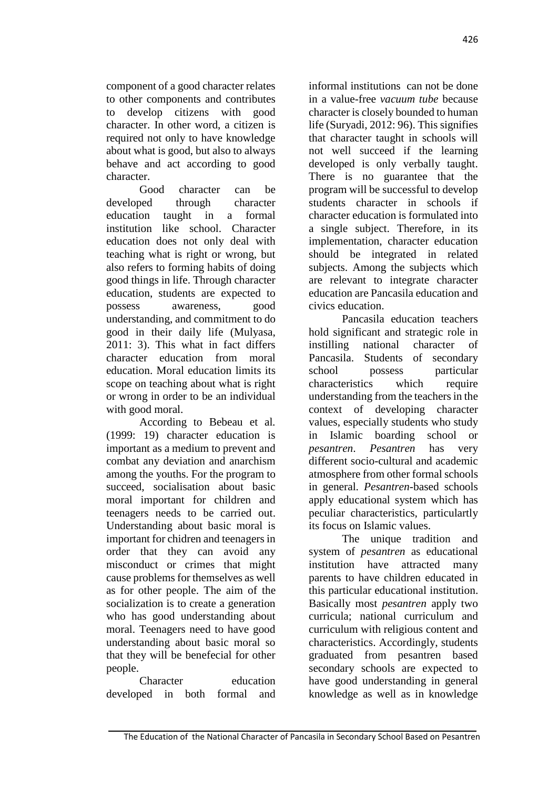component of a good character relates to other components and contributes to develop citizens with good character. In other word, a citizen is required not only to have knowledge about what is good, but also to always behave and act according to good character.

Good character can be developed through character education taught in a formal institution like school. Character education does not only deal with teaching what is right or wrong, but also refers to forming habits of doing good things in life. Through character education, students are expected to possess awareness, good understanding, and commitment to do good in their daily life (Mulyasa, 2011: 3). This what in fact differs character education from moral education. Moral education limits its scope on teaching about what is right or wrong in order to be an individual with good moral.

According to Bebeau et al*.* (1999: 19) character education is important as a medium to prevent and combat any deviation and anarchism among the youths. For the program to succeed, socialisation about basic moral important for children and teenagers needs to be carried out. Understanding about basic moral is important for chidren and teenagers in order that they can avoid any misconduct or crimes that might cause problems for themselves as well as for other people. The aim of the socialization is to create a generation who has good understanding about moral. Teenagers need to have good understanding about basic moral so that they will be benefecial for other people.

Character education developed in both formal and informal institutions can not be done in a value-free *vacuum tube* because character is closely bounded to human life (Suryadi, 2012: 96). This signifies that character taught in schools will not well succeed if the learning developed is only verbally taught. There is no guarantee that the program will be successful to develop students character in schools if character education is formulated into a single subject. Therefore, in its implementation, character education should be integrated in related subjects. Among the subjects which are relevant to integrate character education are Pancasila education and civics education.

Pancasila education teachers hold significant and strategic role in instilling national character of Pancasila. Students of secondary school possess particular characteristics which require understanding from the teachers in the context of developing character values, especially students who study in Islamic boarding school or *pesantren*. *Pesantren* has very different socio-cultural and academic atmosphere from other formal schools in general. *Pesantren*-based schools apply educational system which has peculiar characteristics, particulartly its focus on Islamic values.

The unique tradition and system of *pesantren* as educational institution have attracted many parents to have children educated in this particular educational institution. Basically most *pesantren* apply two curricula; national curriculum and curriculum with religious content and characteristics. Accordingly, students graduated from pesantren based secondary schools are expected to have good understanding in general knowledge as well as in knowledge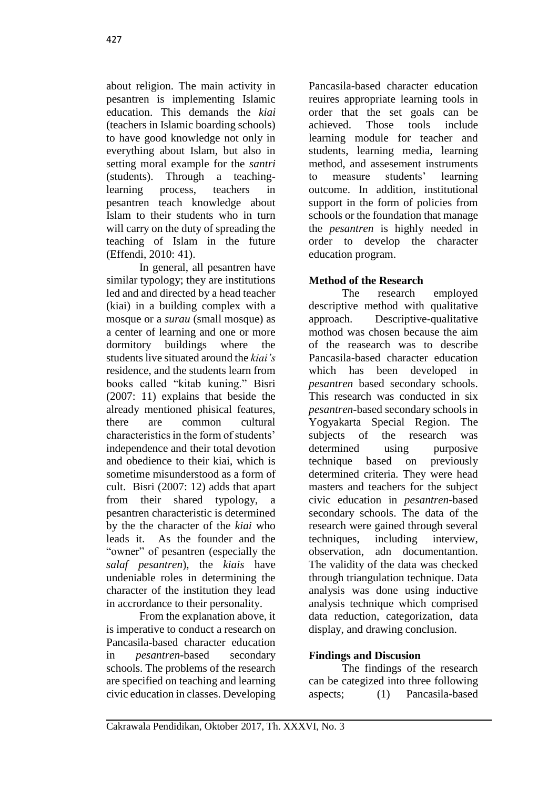about religion. The main activity in pesantren is implementing Islamic education. This demands the *kiai* (teachers in Islamic boarding schools) to have good knowledge not only in everything about Islam, but also in setting moral example for the *santri* (students). Through a teachinglearning process, teachers in pesantren teach knowledge about Islam to their students who in turn will carry on the duty of spreading the teaching of Islam in the future (Effendi, 2010: 41).

In general, all pesantren have similar typology; they are institutions led and and directed by a head teacher (kiai) in a building complex with a mosque or a *surau* (small mosque) as a center of learning and one or more dormitory buildings where the students live situated around the *kiai's* residence, and the students learn from books called "kitab kuning." Bisri (2007: 11) explains that beside the already mentioned phisical features, there are common cultural characteristics in the form of students' independence and their total devotion and obedience to their kiai, which is sometime misunderstood as a form of cult. Bisri (2007: 12) adds that apart from their shared typology, a pesantren characteristic is determined by the the character of the *kiai* who leads it. As the founder and the "owner" of pesantren (especially the *salaf pesantren*), the *kiais* have undeniable roles in determining the character of the institution they lead in accrordance to their personality.

From the explanation above, it is imperative to conduct a research on Pancasila-based character education in *pesantren*-based secondary schools. The problems of the research are specified on teaching and learning civic education in classes. Developing

Pancasila-based character education reuires appropriate learning tools in order that the set goals can be achieved. Those tools include learning module for teacher and students, learning media, learning method, and assesement instruments to measure students' learning outcome. In addition, institutional support in the form of policies from schools or the foundation that manage the *pesantren* is highly needed in order to develop the character education program.

# **Method of the Research**

The research employed descriptive method with qualitative approach. Descriptive-qualitative mothod was chosen because the aim of the reasearch was to describe Pancasila-based character education which has been developed in *pesantren* based secondary schools. This research was conducted in six *pesantren*-based secondary schools in Yogyakarta Special Region. The subjects of the research was determined using purposive technique based on previously determined criteria. They were head masters and teachers for the subject civic education in *pesantren*-based secondary schools. The data of the research were gained through several techniques, including interview, observation, adn documentantion. The validity of the data was checked through triangulation technique. Data analysis was done using inductive analysis technique which comprised data reduction, categorization, data display, and drawing conclusion.

## **Findings and Discusion**

The findings of the research can be categized into three following aspects; (1) Pancasila-based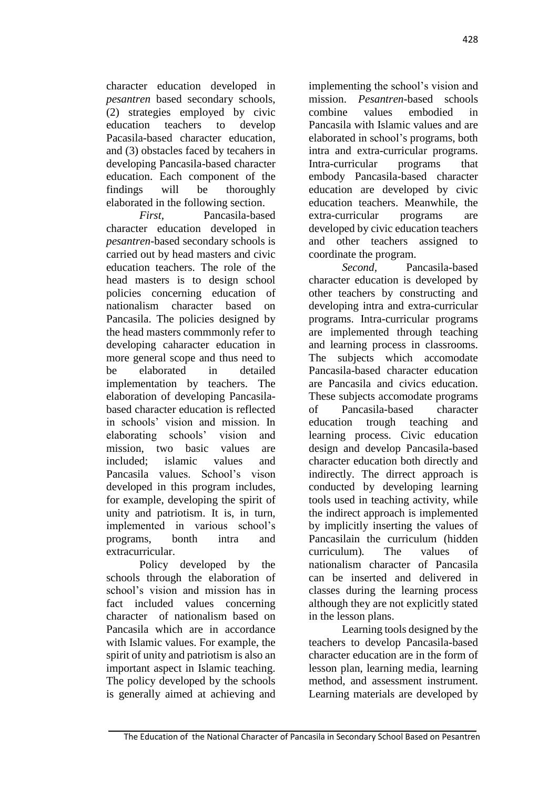character education developed in *pesantren* based secondary schools, (2) strategies employed by civic education teachers to develop Pacasila-based character education, and (3) obstacles faced by tecahers in developing Pancasila-based character education. Each component of the findings will be thoroughly elaborated in the following section.

*First,* Pancasila-based character education developed in *pesantren*-based secondary schools is carried out by head masters and civic education teachers. The role of the head masters is to design school policies concerning education of nationalism character based on Pancasila. The policies designed by the head masters commmonly refer to developing caharacter education in more general scope and thus need to be elaborated in detailed implementation by teachers. The elaboration of developing Pancasilabased character education is reflected in schools' vision and mission. In elaborating schools' vision and mission, two basic values are included; islamic values and Pancasila values. School's vison developed in this program includes, for example, developing the spirit of unity and patriotism. It is, in turn, implemented in various school's programs, bonth intra and extracurricular.

Policy developed by the schools through the elaboration of school's vision and mission has in fact included values concerning character of nationalism based on Pancasila which are in accordance with Islamic values. For example, the spirit of unity and patriotism is also an important aspect in Islamic teaching. The policy developed by the schools is generally aimed at achieving and implementing the school's vision and mission. *Pesantren*-based schools combine values embodied in Pancasila with Islamic values and are elaborated in school's programs, both intra and extra-curricular programs. Intra-curricular programs that embody Pancasila-based character education are developed by civic education teachers. Meanwhile, the extra-curricular programs are developed by civic education teachers and other teachers assigned to coordinate the program.

*Second,* Pancasila-based character education is developed by other teachers by constructing and developing intra and extra-curricular programs. Intra-curricular programs are implemented through teaching and learning process in classrooms. The subjects which accomodate Pancasila-based character education are Pancasila and civics education. These subjects accomodate programs of Pancasila-based character education trough teaching and learning process. Civic education design and develop Pancasila-based character education both directly and indirectly. The dirrect approach is conducted by developing learning tools used in teaching activity, while the indirect approach is implemented by implicitly inserting the values of Pancasilain the curriculum (hidden curriculum)*.* The values of nationalism character of Pancasila can be inserted and delivered in classes during the learning process although they are not explicitly stated in the lesson plans.

Learning tools designed by the teachers to develop Pancasila-based character education are in the form of lesson plan, learning media, learning method, and assessment instrument. Learning materials are developed by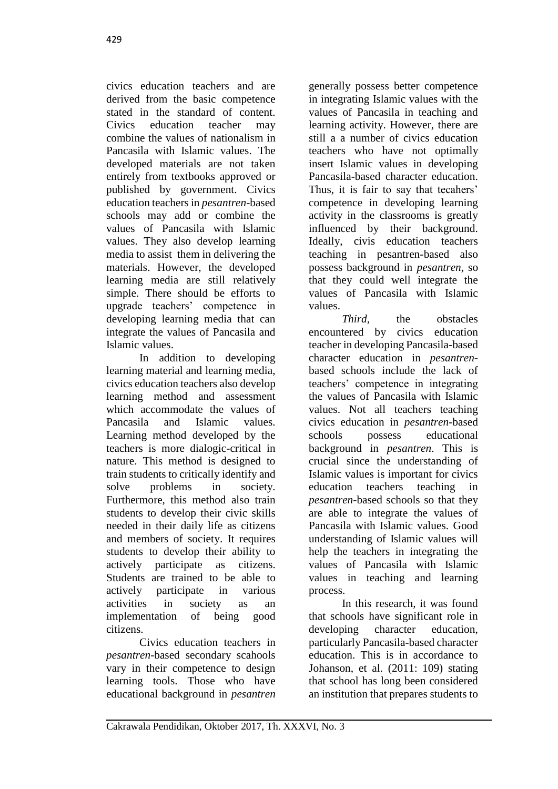civics education teachers and are derived from the basic competence stated in the standard of content. Civics education teacher may combine the values of nationalism in Pancasila with Islamic values. The developed materials are not taken entirely from textbooks approved or published by government. Civics education teachers in *pesantren*-based schools may add or combine the values of Pancasila with Islamic values. They also develop learning media to assist them in delivering the materials. However, the developed learning media are still relatively simple. There should be efforts to upgrade teachers' competence in developing learning media that can integrate the values of Pancasila and Islamic values.

In addition to developing learning material and learning media, civics education teachers also develop learning method and assessment which accommodate the values of Pancasila and Islamic values. Learning method developed by the teachers is more dialogic-critical in nature. This method is designed to train students to critically identify and solve problems in society. Furthermore, this method also train students to develop their civic skills needed in their daily life as citizens and members of society. It requires students to develop their ability to actively participate as citizens. Students are trained to be able to actively participate in various activities in society as an implementation of being good citizens.

Civics education teachers in *pesantren*-based secondary scahools vary in their competence to design learning tools. Those who have educational background in *pesantren* generally possess better competence in integrating Islamic values with the values of Pancasila in teaching and learning activity. However, there are still a a number of civics education teachers who have not optimally insert Islamic values in developing Pancasila-based character education. Thus, it is fair to say that tecahers' competence in developing learning activity in the classrooms is greatly influenced by their background. Ideally, civis education teachers teaching in pesantren-based also possess background in *pesantren*, so that they could well integrate the values of Pancasila with Islamic values.

*Third* the obstacles encountered by civics education teacher in developing Pancasila-based character education in *pesantren*based schools include the lack of teachers' competence in integrating the values of Pancasila with Islamic values. Not all teachers teaching civics education in *pesantren*-based schools possess educational background in *pesantren*. This is crucial since the understanding of Islamic values is important for civics education teachers teaching in *pesantren*-based schools so that they are able to integrate the values of Pancasila with Islamic values. Good understanding of Islamic values will help the teachers in integrating the values of Pancasila with Islamic values in teaching and learning process.

In this research, it was found that schools have significant role in developing character education, particularly Pancasila-based character education. This is in accordance to Johanson, et al. (2011: 109) stating that school has long been considered an institution that prepares students to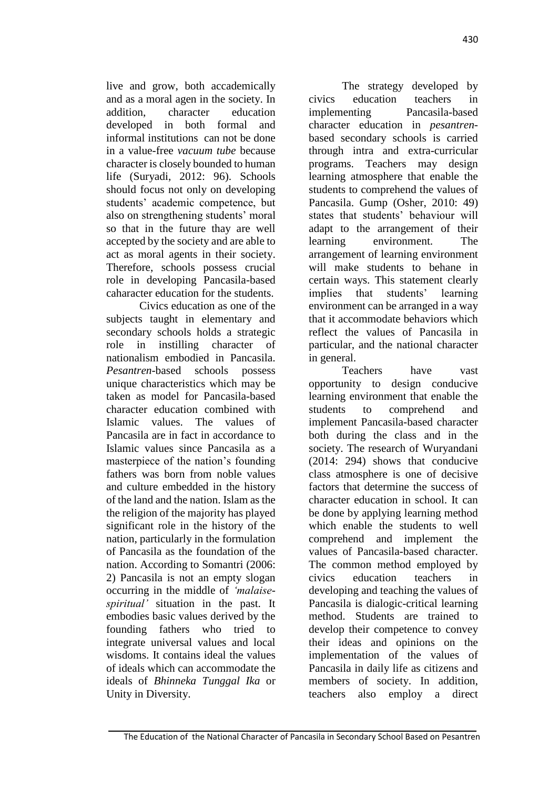live and grow, both accademically and as a moral agen in the society. In addition, character education developed in both formal and informal institutions can not be done in a value-free *vacuum tube* because character is closely bounded to human life (Suryadi, 2012: 96). Schools should focus not only on developing students' academic competence, but also on strengthening students' moral so that in the future thay are well accepted by the society and are able to act as moral agents in their society. Therefore, schools possess crucial role in developing Pancasila-based caharacter education for the students.

Civics education as one of the subjects taught in elementary and secondary schools holds a strategic role in instilling character of nationalism embodied in Pancasila. *Pesantren*-based schools possess unique characteristics which may be taken as model for Pancasila-based character education combined with Islamic values. The values of Pancasila are in fact in accordance to Islamic values since Pancasila as a masterpiece of the nation's founding fathers was born from noble values and culture embedded in the history of the land and the nation. Islam as the the religion of the majority has played significant role in the history of the nation, particularly in the formulation of Pancasila as the foundation of the nation. According to Somantri (2006: 2) Pancasila is not an empty slogan occurring in the middle of *'malaisespiritual'* situation in the past. It embodies basic values derived by the founding fathers who tried to integrate universal values and local wisdoms. It contains ideal the values of ideals which can accommodate the ideals of *Bhinneka Tunggal Ika* or Unity in Diversity.

The strategy developed by civics education teachers in implementing Pancasila-based character education in *pesantren*based secondary schools is carried through intra and extra-curricular programs. Teachers may design learning atmosphere that enable the students to comprehend the values of Pancasila. Gump (Osher, 2010: 49) states that students' behaviour will adapt to the arrangement of their learning environment. The arrangement of learning environment will make students to behane in certain ways. This statement clearly implies that students' learning environment can be arranged in a way that it accommodate behaviors which reflect the values of Pancasila in particular, and the national character in general.

Teachers have vast opportunity to design conducive learning environment that enable the students to comprehend and implement Pancasila-based character both during the class and in the society. The research of Wuryandani (2014: 294) shows that conducive class atmosphere is one of decisive factors that determine the success of character education in school. It can be done by applying learning method which enable the students to well comprehend and implement the values of Pancasila-based character. The common method employed by civics education teachers in developing and teaching the values of Pancasila is dialogic-critical learning method. Students are trained to develop their competence to convey their ideas and opinions on the implementation of the values of Pancasila in daily life as citizens and members of society. In addition, teachers also employ a direct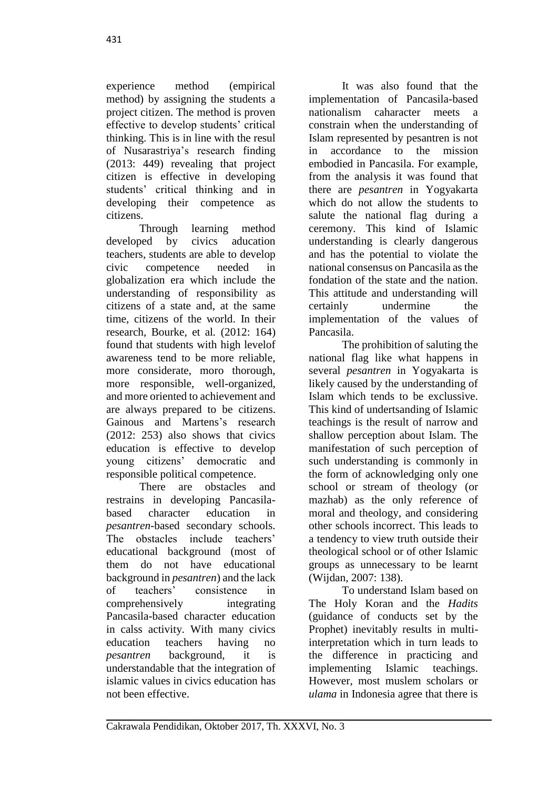experience method (empirical method) by assigning the students a project citizen. The method is proven effective to develop students' critical thinking. This is in line with the resul of Nusarastriya's research finding (2013: 449) revealing that project citizen is effective in developing students' critical thinking and in developing their competence as citizens.

Through learning method developed by civics aducation teachers, students are able to develop civic competence needed in globalization era which include the understanding of responsibility as citizens of a state and, at the same time, citizens of the world. In their research, Bourke, et al*.* (2012: 164) found that students with high levelof awareness tend to be more reliable, more considerate, moro thorough, more responsible, well-organized, and more oriented to achievement and are always prepared to be citizens. Gainous and Martens's research (2012: 253) also shows that civics education is effective to develop young citizens' democratic and responsible political competence.

There are obstacles and restrains in developing Pancasilabased character education in *pesantren*-based secondary schools. The obstacles include teachers' educational background (most of them do not have educational background in *pesantren*) and the lack of teachers' consistence in comprehensively integrating Pancasila-based character education in calss activity. With many civics education teachers having no *pesantren* background, it is understandable that the integration of islamic values in civics education has not been effective.

It was also found that the implementation of Pancasila-based nationalism caharacter meets a constrain when the understanding of Islam represented by pesantren is not in accordance to the mission embodied in Pancasila. For example, from the analysis it was found that there are *pesantren* in Yogyakarta which do not allow the students to salute the national flag during a ceremony. This kind of Islamic understanding is clearly dangerous and has the potential to violate the national consensus on Pancasila as the fondation of the state and the nation. This attitude and understanding will certainly undermine the implementation of the values of Pancasila.

The prohibition of saluting the national flag like what happens in several *pesantren* in Yogyakarta is likely caused by the understanding of Islam which tends to be exclussive. This kind of undertsanding of Islamic teachings is the result of narrow and shallow perception about Islam. The manifestation of such perception of such understanding is commonly in the form of acknowledging only one school or stream of theology (or mazhab) as the only reference of moral and theology, and considering other schools incorrect. This leads to a tendency to view truth outside their theological school or of other Islamic groups as unnecessary to be learnt (Wijdan, 2007: 138).

To understand Islam based on The Holy Koran and the *Hadits* (guidance of conducts set by the Prophet) inevitably results in multiinterpretation which in turn leads to the difference in practicing and implementing Islamic teachings. However, most muslem scholars or *ulama* in Indonesia agree that there is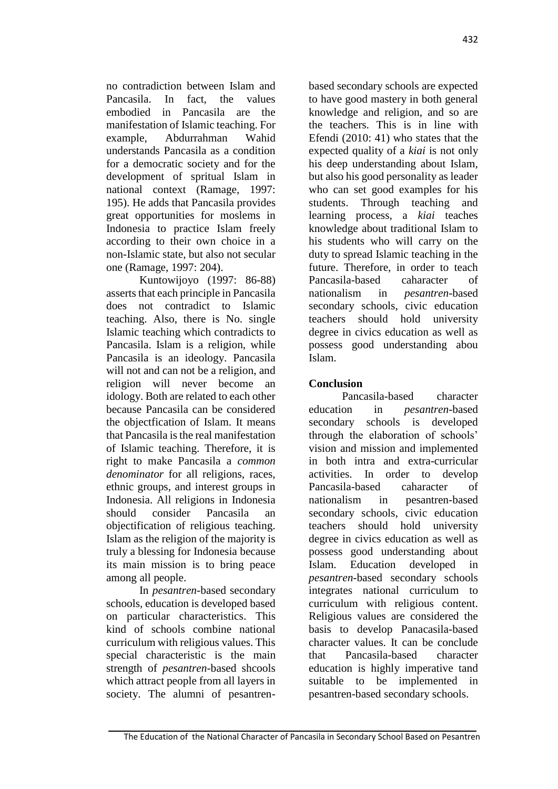no contradiction between Islam and Pancasila. In fact, the values embodied in Pancasila are the manifestation of Islamic teaching. For example, Abdurrahman Wahid understands Pancasila as a condition for a democratic society and for the development of spritual Islam in national context (Ramage, 1997: 195). He adds that Pancasila provides great opportunities for moslems in Indonesia to practice Islam freely according to their own choice in a non-Islamic state, but also not secular one (Ramage, 1997: 204).

Kuntowijoyo (1997: 86-88) asserts that each principle in Pancasila does not contradict to Islamic teaching. Also, there is No. single Islamic teaching which contradicts to Pancasila. Islam is a religion, while Pancasila is an ideology. Pancasila will not and can not be a religion, and religion will never become an idology. Both are related to each other because Pancasila can be considered the objectfication of Islam. It means that Pancasila is the real manifestation of Islamic teaching. Therefore, it is right to make Pancasila a *common denominator* for all religions, races, ethnic groups, and interest groups in Indonesia. All religions in Indonesia should consider Pancasila an objectification of religious teaching. Islam as the religion of the majority is truly a blessing for Indonesia because its main mission is to bring peace among all people.

In *pesantren*-based secondary schools, education is developed based on particular characteristics. This kind of schools combine national curriculum with religious values. This special characteristic is the main strength of *pesantren*-based shcools which attract people from all layers in society. The alumni of pesantrenbased secondary schools are expected to have good mastery in both general knowledge and religion, and so are the teachers. This is in line with Efendi (2010: 41) who states that the expected quality of a *kiai* is not only his deep understanding about Islam, but also his good personality as leader who can set good examples for his students. Through teaching and learning process, a *kiai* teaches knowledge about traditional Islam to his students who will carry on the duty to spread Islamic teaching in the future. Therefore, in order to teach Pancasila-based caharacter of nationalism in *pesantren*-based secondary schools, civic education teachers should hold university degree in civics education as well as possess good understanding abou Islam.

# **Conclusion**

Pancasila-based character education in *pesantren*-based secondary schools is developed through the elaboration of schools' vision and mission and implemented in both intra and extra-curricular activities. In order to develop Pancasila-based caharacter of nationalism in pesantren-based secondary schools, civic education teachers should hold university degree in civics education as well as possess good understanding about Islam. Education developed in *pesantren*-based secondary schools integrates national curriculum to curriculum with religious content. Religious values are considered the basis to develop Panacasila-based character values. It can be conclude that Pancasila-based character education is highly imperative tand suitable to be implemented in pesantren-based secondary schools.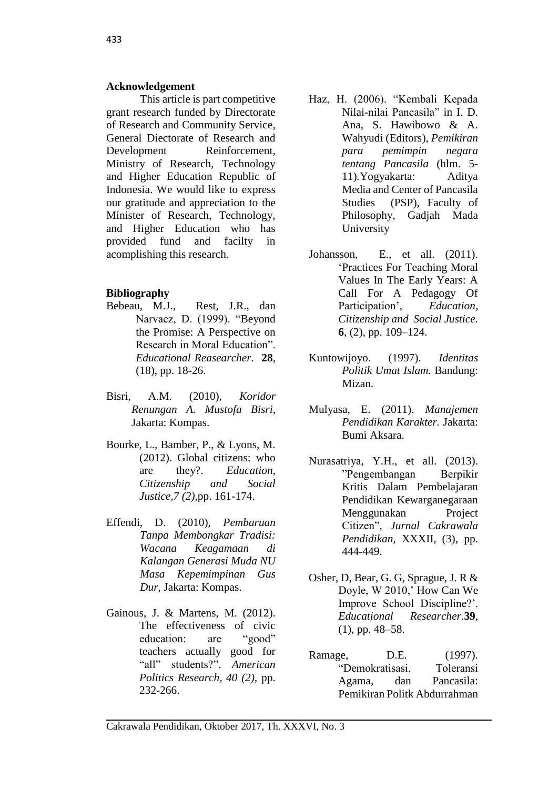#### **Acknowledgement**

This article is part competitive grant research funded by Directorate of Research and Community Service, General Diectorate of Research and Development Reinforcement, Ministry of Research, Technology and Higher Education Republic of Indonesia. We would like to express our gratitude and appreciation to the Minister of Research, Technology, and Higher Education who has provided fund and facilty in acomplishing this research.

### **Bibliography**

- Bebeau, M.J., Rest, J.R., dan Narvaez, D. (1999). "Beyond the Promise: A Perspective on Research in Moral Education". *Educational Reasearcher.* **28**, (18), pp. 18-26.
- Bisri, A.M. (2010), *Koridor Renungan A. Mustofa Bisri*, Jakarta: Kompas.
- Bourke, L., Bamber, P., & Lyons, M. (2012). Global citizens: who are they?. *Education, Citizenship and Social Justice,7 (2),*pp. 161-174.
- Effendi, D. (2010), *Pembaruan Tanpa Membongkar Tradisi: Wacana Keagamaan di Kalangan Generasi Muda NU Masa Kepemimpinan Gus Dur*, Jakarta: Kompas.
- Gainous, J. & Martens, M. (2012). The effectiveness of civic education: are "good" teachers actually good for "all" students?". *American Politics Research, 40 (2),* pp. 232-266.
- Haz, H. (2006). "Kembali Kepada Nilai-nilai Pancasila" in I. D. Ana, S. Hawibowo & A. Wahyudi (Editors), *Pemikiran para pemimpin negara tentang Pancasila* (hlm. 5- 11)*.*Yogyakarta: Aditya Media and Center of Pancasila Studies (PSP), Faculty of Philosophy, Gadjah Mada University
- Johansson, E., et all. (2011). 'Practices For Teaching Moral Values In The Early Years: A Call For A Pedagogy Of Participation', *Education, Citizenship and Social Justice.*  **6**, (2), pp. 109–124.
- Kuntowijoyo. (1997). *Identitas Politik Umat Islam.* Bandung: Mizan.
- Mulyasa, E. (2011). *Manajemen Pendidikan Karakter.* Jakarta: Bumi Aksara.
- Nurasatriya, Y.H., et all. (2013). "Pengembangan Berpikir Kritis Dalam Pembelajaran Pendidikan Kewarganegaraan Menggunakan Project Citizen", *Jurnal Cakrawala Pendidikan,* XXXII, (3), pp. 444-449.
- Osher, D, Bear, G. G, Sprague, J. R & Doyle, W 2010,' How Can We Improve School Discipline?'. *Educational Researcher.***39**, (1), pp. 48–58.
- Ramage, D.E. (1997). "Demokratisasi, Toleransi Agama, dan Pancasila: Pemikiran Politk Abdurrahman